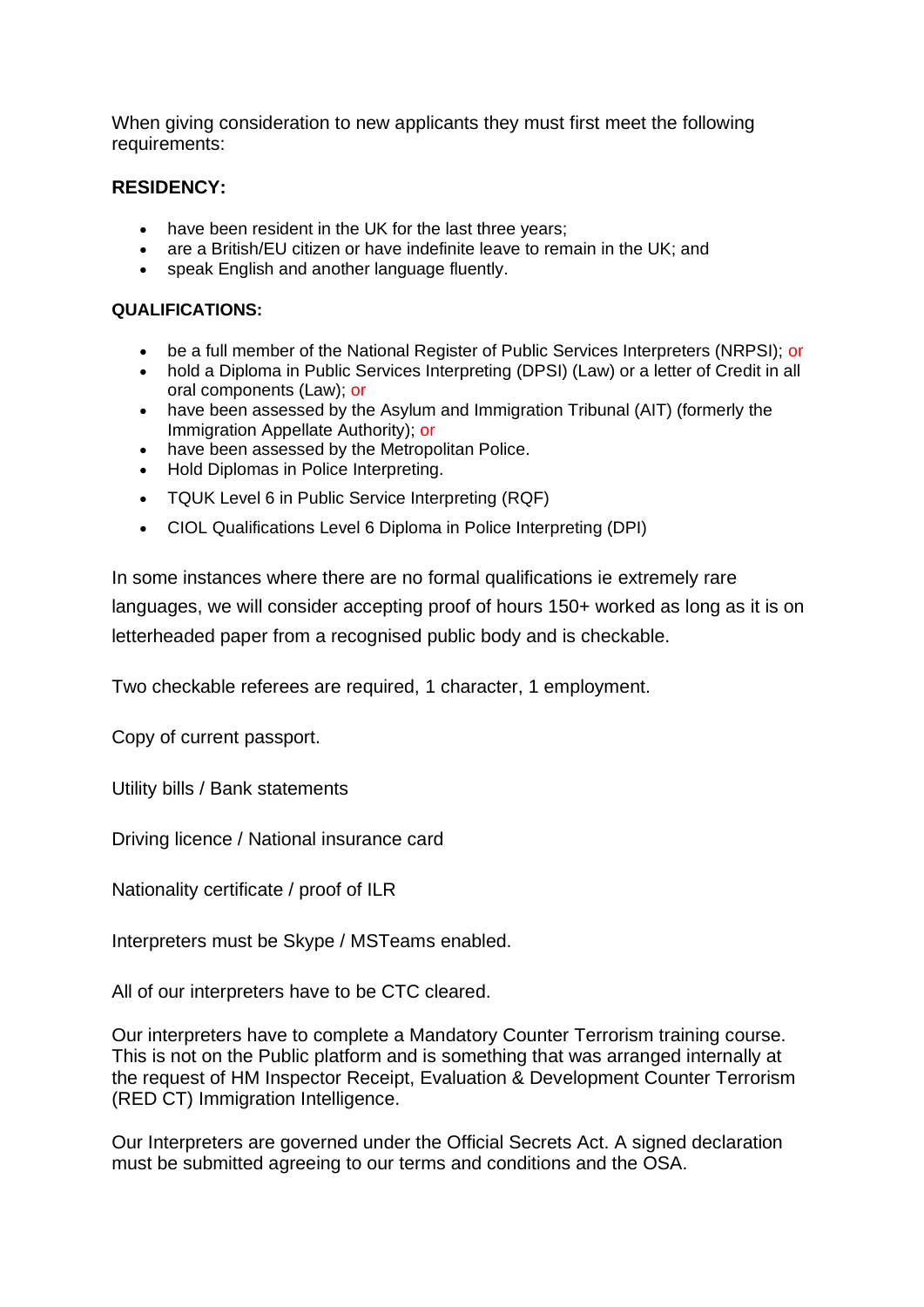When giving consideration to new applicants they must first meet the following requirements:

## **RESIDENCY:**

- have been resident in the UK for the last three years;
- are a British/EU citizen or have indefinite leave to remain in the UK; and
- speak English and another language fluently.

## **QUALIFICATIONS:**

- be a full member of the National Register of Public Services Interpreters (NRPSI); or
- hold a Diploma in Public Services Interpreting (DPSI) (Law) or a letter of Credit in all oral components (Law); or
- have been assessed by the Asylum and Immigration Tribunal (AIT) (formerly the Immigration Appellate Authority); or
- have been assessed by the Metropolitan Police.
- Hold Diplomas in Police Interpreting.
- TQUK Level 6 in Public Service Interpreting (RQF)
- CIOL Qualifications Level 6 Diploma in Police Interpreting (DPI)

In some instances where there are no formal qualifications ie extremely rare languages, we will consider accepting proof of hours 150+ worked as long as it is on letterheaded paper from a recognised public body and is checkable.

Two checkable referees are required, 1 character, 1 employment.

Copy of current passport.

Utility bills / Bank statements

Driving licence / National insurance card

Nationality certificate / proof of ILR

Interpreters must be Skype / MSTeams enabled.

All of our interpreters have to be CTC cleared.

Our interpreters have to complete a Mandatory Counter Terrorism training course. This is not on the Public platform and is something that was arranged internally at the request of HM Inspector Receipt, Evaluation & Development Counter Terrorism (RED CT) Immigration Intelligence.

Our Interpreters are governed under the Official Secrets Act. A signed declaration must be submitted agreeing to our terms and conditions and the OSA.